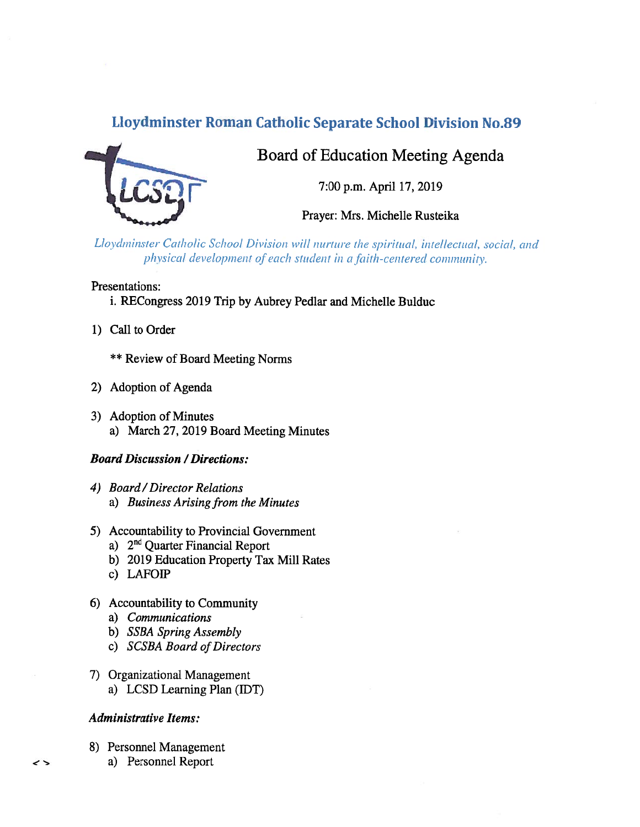# Lloydminster Roman Catholic Separate School Division No.89



Board of Education Meeting Agenda

7:00 p.m. April 17, 2019

Prayer: Mrs. Michelle Rusteika

Lloydminster Catholic School Division will nurture the spiritual, intellectual, social, and physical development of each student in a faith-centered community.

## Presentations:

- i. RECongress 2019 Trip by Aubrey Pedlar and Michelle Bulduc
- 1) Call to Order
	- \*\* Review of Board Meeting Norms
- 2) Adoption of Agenda
- 3) Adoption of Minutes a) March 27, 2019 Board Meeting Minutes

## Board Discussion /Directions:

- 4) Board /Director Relations a) Business Arising from the Minutes
- 5) Accountability to Provincial Government
	- a) 2<sup>nd</sup> Quarter Financial Report
	- b) 2019 Education Property Tax Mill Rates
	- c) LAFO
- 6) Accountability to Community
	- a) Communications
	- b) SSBA Spring Assembly
	- c) SCSBA Board of Directors
- 7) Organizational Management
	- a) LCSD Learning Plan (IDT)

## Administrative Items:

- 8) Personnel Management
	- a) Personnel Report

 $\rightarrow$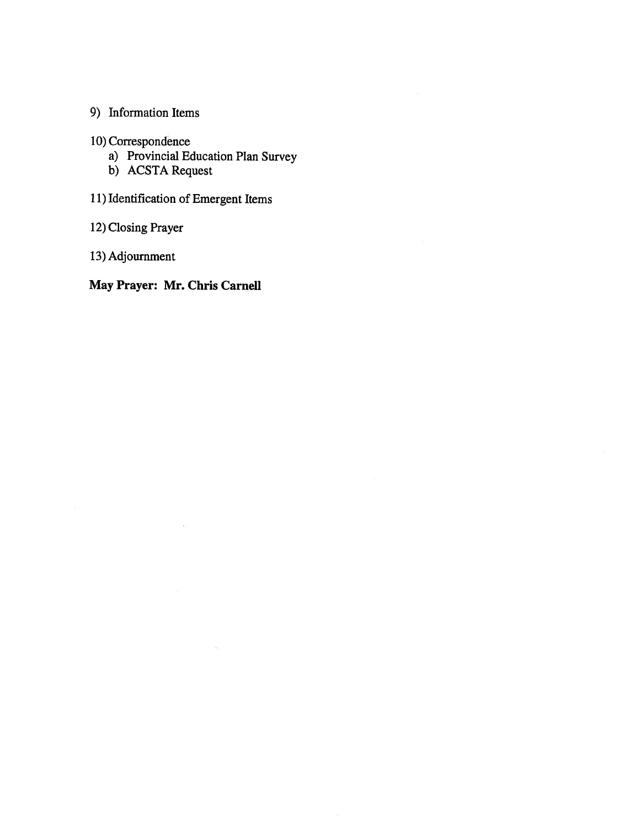## 9) Information Items

10) Correspondence

a) Provincial Education Plan Survey

 $\overline{\mathcal{R}}$ 

- b) ACSTA Request
- 11) Identification of Emergent Items

12) Closing Prayer

13) Adjournment

## May Prayer: Mr. Chris Camel!

 $\alpha$ 

 $\tilde{\Theta}$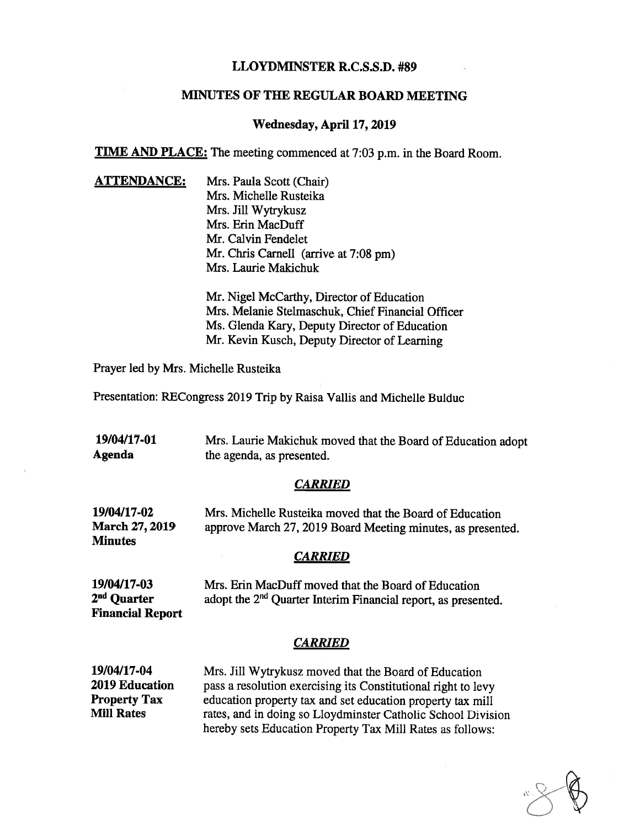## LLOYDMINSTER R.C.S.S.D. #89

### MINUTES OF THE REGULAR BOARD MEETING

#### Wednesday, April 17, 2019

**TIME AND PLACE:** The meeting commenced at 7:03 p.m. in the Board Room.

ATTENDANCE: Mrs. Paula Scott (Chair) Mrs. Michelle Rusteika Mrs. Jill Wytrykusz Mrs. Erin MacDuff Mr. Calvin Fendelet Mr. Chris Carnell (arrive at 7:08 pm) Mrs. Laurie Makichuk

> Mr. Nigel McCarthy, Director of Education Mrs. Melanie Stelmaschuk, Chief Financial Officer Ms. Glenda Kary, Deputy Director of Education Mr. Kevin Kusch, Deputy Director of Learning

Prayer led by Mrs. Michelle Rusteika

Presentation: RECongress 2019 Trip by Raisa Vallis and Michelle Bulduc

| 19/04/17-01 | Mrs. Laurie Makichuk moved that the Board of Education adopt |
|-------------|--------------------------------------------------------------|
| Agenda      | the agenda, as presented.                                    |

#### **CARRIED**

| 19/04/17-02           | Mrs. Michelle Rusteika moved that the Board of Education    |
|-----------------------|-------------------------------------------------------------|
| <b>March 27, 2019</b> | approve March 27, 2019 Board Meeting minutes, as presented. |
| <b>Minutes</b>        |                                                             |

#### **CARRIED**

19/04/17-03 Mrs. Erin MacDuff moved that the Board of Education  $2<sup>nd</sup>$  Quarter adopt the  $2<sup>nd</sup>$  Quarter Interim Financial report, as presented. Financial Report

#### CARRIED

19/04/17-04 Mrs. Jill Wytrykusz moved that the Board of Education 2019 Education pass a resolution exercising its Constitutional right to levy **Property Tax** education property tax and set education property tax mill<br>Mill Rates rates, and in doing so Lloydminster Catholic School Divis rates, and in doing so Lloydminster Catholic School Division hereby sets Education Property Tax Mill Rates as follows: